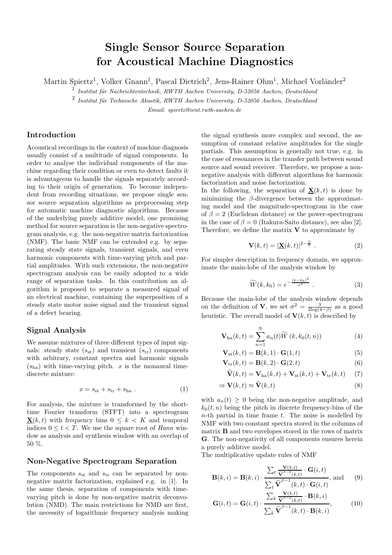# Single Sensor Source Separation for Acoustical Machine Diagnostics

Martin Spiertz<sup>1</sup>, Volker Gnann<sup>1</sup>, Pascal Dietrich<sup>2</sup>, Jens-Rainer Ohm<sup>1</sup>, Michael Vorländer<sup>2</sup>

<sup>1</sup> Institut für Nachrichtentechnik, RWTH Aachen University, D-52056 Aachen, Deutschland

2 *Institut f¨ur Technische Akustik, RWTH Aachen University, D-52056 Aachen, Deutschland*

*Email: spiertz@ient.rwth-aachen.de*

# Introduction

Acoustical recordings in the context of machine diagnosis usually consist of a multitude of signal components. In order to analyse the individual components of the machine regarding their condition or even to detect faults it is advantageous to handle the signals separately according to their origin of generation. To become independent from recording situations, we propose single sensor source separation algorithms as preprocessing step for automatic machine diagnostic algorithms. Because of the underlying purely additive model, one promising method for source separation is the non-negative spectrogram analysis, e.g. the non-negative matrix factorization (NMF). The basic NMF can be extended e.g. by separating steady state signals, transient signals, and even harmonic components with time-varying pitch and partial amplitudes. With such extensions, the non-negative spectrogram analysis can be easily adopted to a wide range of separation tasks. In this contribution an algorithm is proposed to separate a measured signal of an electrical machine, containing the superposition of a steady state motor noise signal and the transient signal of a defect bearing.

# Signal Analysis

We assume mixtures of three different types of input signals: steady state  $(s_{st})$  and transient  $(s_{tr})$  components with arbitrary, constant spectra and harmonic signals  $(s<sub>ha</sub>)$  with time-varying pitch. x is the monaural timediscrete mixture:

$$
x = s_{\rm st} + s_{\rm tr} + s_{\rm ha} \tag{1}
$$

For analysis, the mixture is transformed by the shorttime Fourier transform (STFT) into a spectrogram  $\mathbf{X}(k, t)$  with frequency bins  $0 \leq k \leq K$  and temporal indices  $0 \le t < T$ . We use the square root of *Hann* window as analysis and synthesis window with an overlap of 50 %.

### Non-Negative Spectrogram Separation

The components  $s_{st}$  and  $s_{tr}$  can be separated by nonnegative matrix factorization, explained e.g. in [1]. In the same thesis, separation of components with timevarying pitch is done by non-negative matrix deconvolution (NMD). The main restrictions for NMD are first, the necessity of logarithmic frequency analysis making the signal synthesis more complex and second, the assumption of constant relative amplitudes for the single partials. This assumption is generally not true, e.g. in the case of resonances in the transfer path between sound source and sound receiver. Therefore, we propose a nonnegative analysis with different algorithms for harmonic factorization and noise factorization.

In the following, the separation of  $X(k, t)$  is done by minimizing the  $\beta$ -divergence between the approximating model and the magnitude-spectrogram in the case of  $\beta = 2$  (Euclidean distance) or the power-spectrogram in the case of  $\beta = 0$  (Itakura-Saito distance), see also [2]. Therefore, we define the matrix  $V$  to approximate by

$$
\mathbf{V}(k,t) = |\mathbf{\underline{X}}(k,t)|^{2-\frac{\beta}{2}}.
$$
 (2)

For simpler description in frequency domain, we approximate the main-lobe of the analysis window by

$$
\widetilde{W}(k,k_0) = e^{-\frac{(k-k_0)^2}{\sigma^2}}.
$$
\n(3)

Because the main-lobe of the analysis window depends on the definition of **V**, we set  $\sigma^2 = \frac{3}{2 \log(4-\beta)}$  as a good heuristic. The overall model of  $\mathbf{V}(k,t)$  is described by

$$
\mathbf{V}_{\text{ha}}(k,t) = \sum_{n=1}^{N} a_n(t) \widetilde{W}(k,k_0(t,n))
$$
 (4)

$$
\mathbf{V}_{\rm st}(k,t) = \mathbf{B}(k,1) \cdot \mathbf{G}(1,t) \tag{5}
$$

$$
\mathbf{V}_{\text{tr}}(k,t) = \mathbf{B}(k,2) \cdot \mathbf{G}(2,t)
$$
 (6)

$$
\widetilde{\mathbf{V}}(k,t) = \mathbf{V}_{\text{ha}}(k,t) + \mathbf{V}_{\text{st}}(k,t) + \mathbf{V}_{\text{tr}}(k,t) \quad (7)
$$

$$
\Rightarrow \mathbf{V}(k,t) \approx \widetilde{\mathbf{V}}(k,t) \tag{8}
$$

with  $a_n(t) \geq 0$  being the non-negative amplitude, and  $k_0(t, n)$  being the pitch in discrete frequency-bins of the  $n$ -th partial in time frame  $t$ . The noise is modelled by NMF with two constant spectra stored in the columns of matrix B and two envelopes stored in the rows of matrix G. The non-negativity of all components ensures herein a purely additive model.

The multiplicative update rules of NMF

$$
\mathbf{B}(k,i) = \mathbf{B}(k,i) \cdot \frac{\sum_{t} \frac{\mathbf{V}(k,t)}{\tilde{\mathbf{V}}^{\beta-2}(k,t)} \cdot \mathbf{G}(i,t)}{\sum_{t} \tilde{\mathbf{V}}^{\beta-1}(k,t) \cdot \mathbf{G}(i,t)}, \text{ and } (9)
$$

$$
\mathbf{G}(i,t) = \mathbf{G}(i,t) \cdot \frac{\sum_{k} \frac{\mathbf{V}(k,t)}{\tilde{\mathbf{V}}^{\beta-2}(k,t)} \cdot \mathbf{B}(k,i)}{\sum_{k} \tilde{\mathbf{V}}^{\beta-1}(k,t) \cdot \mathbf{B}(k,i)},
$$
(10)